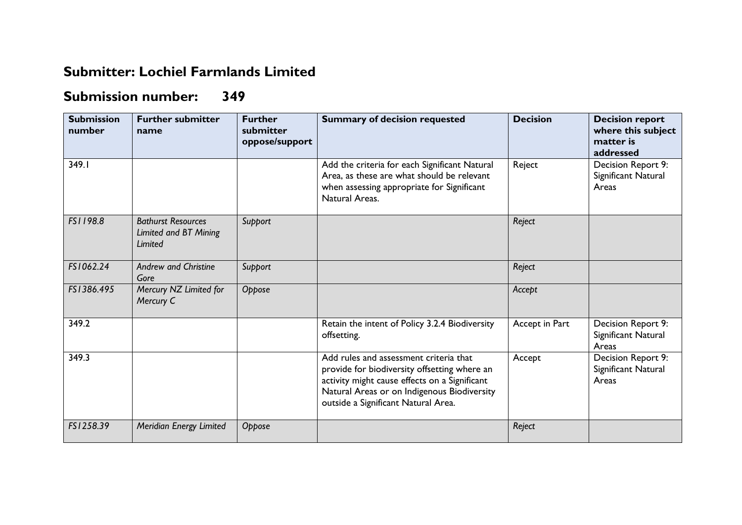## **Submitter: Lochiel Farmlands Limited**

## **Submission number: 349**

| <b>Submission</b><br>number | <b>Further submitter</b><br>name                              | <b>Further</b><br>submitter<br>oppose/support | <b>Summary of decision requested</b>                                                                                                                                                                                          | <b>Decision</b> | <b>Decision report</b><br>where this subject<br>matter is<br>addressed |
|-----------------------------|---------------------------------------------------------------|-----------------------------------------------|-------------------------------------------------------------------------------------------------------------------------------------------------------------------------------------------------------------------------------|-----------------|------------------------------------------------------------------------|
| 349.I                       |                                                               |                                               | Add the criteria for each Significant Natural<br>Area, as these are what should be relevant<br>when assessing appropriate for Significant<br>Natural Areas.                                                                   | Reject          | Decision Report 9:<br>Significant Natural<br>Areas                     |
| FS1198.8                    | <b>Bathurst Resources</b><br>Limited and BT Mining<br>Limited | Support                                       |                                                                                                                                                                                                                               | Reject          |                                                                        |
| FS1062.24                   | <b>Andrew and Christine</b><br>Gore                           | Support                                       |                                                                                                                                                                                                                               | Reject          |                                                                        |
| FS1386.495                  | Mercury NZ Limited for<br>Mercury C                           | Oppose                                        |                                                                                                                                                                                                                               | Accept          |                                                                        |
| 349.2                       |                                                               |                                               | Retain the intent of Policy 3.2.4 Biodiversity<br>offsetting.                                                                                                                                                                 | Accept in Part  | Decision Report 9:<br>Significant Natural<br>Areas                     |
| 349.3                       |                                                               |                                               | Add rules and assessment criteria that<br>provide for biodiversity offsetting where an<br>activity might cause effects on a Significant<br>Natural Areas or on Indigenous Biodiversity<br>outside a Significant Natural Area. | Accept          | Decision Report 9:<br>Significant Natural<br>Areas                     |
| FS1258.39                   | Meridian Energy Limited                                       | Oppose                                        |                                                                                                                                                                                                                               | Reject          |                                                                        |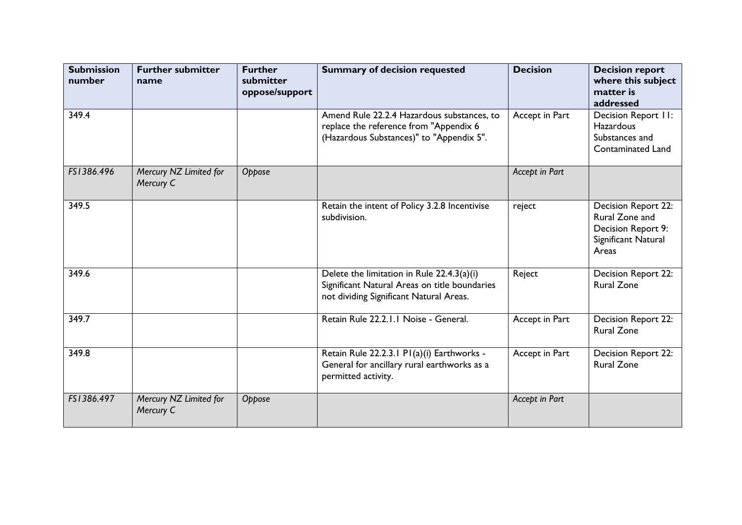| <b>Submission</b><br>number | <b>Further submitter</b><br>name    | <b>Further</b><br>submitter<br>oppose/support | <b>Summary of decision requested</b>                                                                                                   | <b>Decision</b> | <b>Decision report</b><br>where this subject<br>matter is<br>addressed                      |
|-----------------------------|-------------------------------------|-----------------------------------------------|----------------------------------------------------------------------------------------------------------------------------------------|-----------------|---------------------------------------------------------------------------------------------|
| 349.4                       |                                     |                                               | Amend Rule 22.2.4 Hazardous substances, to<br>replace the reference from "Appendix 6<br>(Hazardous Substances)" to "Appendix 5".       | Accept in Part  | Decision Report II:<br><b>Hazardous</b><br>Substances and<br>Contaminated Land              |
| FS1386.496                  | Mercury NZ Limited for<br>Mercury C | Oppose                                        |                                                                                                                                        | Accept in Part  |                                                                                             |
| 349.5                       |                                     |                                               | Retain the intent of Policy 3.2.8 Incentivise<br>subdivision.                                                                          | reject          | Decision Report 22:<br>Rural Zone and<br>Decision Report 9:<br>Significant Natural<br>Areas |
| 349.6                       |                                     |                                               | Delete the limitation in Rule 22.4.3(a)(i)<br>Significant Natural Areas on title boundaries<br>not dividing Significant Natural Areas. | Reject          | Decision Report 22:<br><b>Rural Zone</b>                                                    |
| 349.7                       |                                     |                                               | Retain Rule 22.2.1.1 Noise - General.                                                                                                  | Accept in Part  | Decision Report 22:<br><b>Rural Zone</b>                                                    |
| 349.8                       |                                     |                                               | Retain Rule 22.2.3.1 P1(a)(i) Earthworks -<br>General for ancillary rural earthworks as a<br>permitted activity.                       | Accept in Part  | Decision Report 22:<br><b>Rural Zone</b>                                                    |
| FS1386.497                  | Mercury NZ Limited for<br>Mercury C | Oppose                                        |                                                                                                                                        | Accept in Part  |                                                                                             |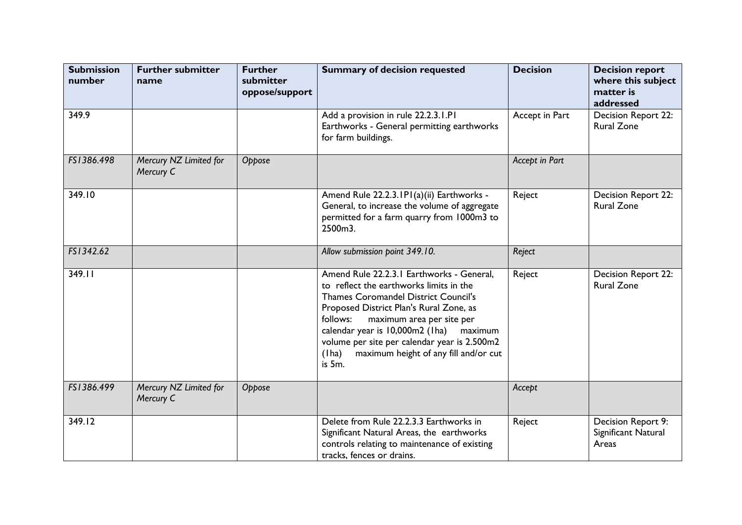| <b>Submission</b><br>number | <b>Further submitter</b><br>name    | <b>Further</b><br>submitter<br>oppose/support | <b>Summary of decision requested</b>                                                                                                                                                                                                                                                                                                                                               | <b>Decision</b> | <b>Decision report</b><br>where this subject<br>matter is<br>addressed |
|-----------------------------|-------------------------------------|-----------------------------------------------|------------------------------------------------------------------------------------------------------------------------------------------------------------------------------------------------------------------------------------------------------------------------------------------------------------------------------------------------------------------------------------|-----------------|------------------------------------------------------------------------|
| 349.9                       |                                     |                                               | Add a provision in rule 22.2.3.1.P1<br>Earthworks - General permitting earthworks<br>for farm buildings.                                                                                                                                                                                                                                                                           | Accept in Part  | Decision Report 22:<br><b>Rural Zone</b>                               |
| FS1386.498                  | Mercury NZ Limited for<br>Mercury C | Oppose                                        |                                                                                                                                                                                                                                                                                                                                                                                    | Accept in Part  |                                                                        |
| 349.10                      |                                     |                                               | Amend Rule 22.2.3. IPI(a)(ii) Earthworks -<br>General, to increase the volume of aggregate<br>permitted for a farm quarry from 1000m3 to<br>2500m3.                                                                                                                                                                                                                                | Reject          | <b>Decision Report 22:</b><br><b>Rural Zone</b>                        |
| FS1342.62                   |                                     |                                               | Allow submission point 349.10.                                                                                                                                                                                                                                                                                                                                                     | Reject          |                                                                        |
| 349.11                      |                                     |                                               | Amend Rule 22.2.3.1 Earthworks - General,<br>to reflect the earthworks limits in the<br><b>Thames Coromandel District Council's</b><br>Proposed District Plan's Rural Zone, as<br>follows:<br>maximum area per site per<br>calendar year is 10,000m2 (1ha)<br>maximum<br>volume per site per calendar year is 2.500m2<br>maximum height of any fill and/or cut<br>(1 ha)<br>is 5m. | Reject          | Decision Report 22:<br><b>Rural Zone</b>                               |
| FS1386.499                  | Mercury NZ Limited for<br>Mercury C | Oppose                                        |                                                                                                                                                                                                                                                                                                                                                                                    | Accept          |                                                                        |
| 349.12                      |                                     |                                               | Delete from Rule 22.2.3.3 Earthworks in<br>Significant Natural Areas, the earthworks<br>controls relating to maintenance of existing<br>tracks, fences or drains.                                                                                                                                                                                                                  | Reject          | Decision Report 9:<br>Significant Natural<br>Areas                     |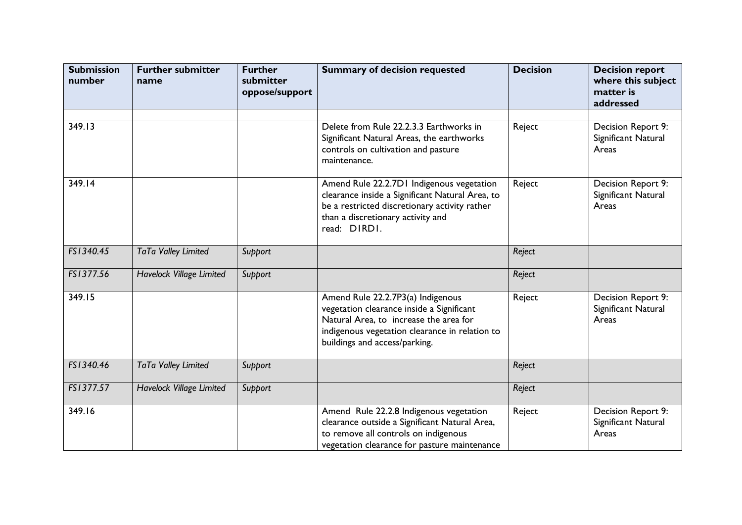| <b>Submission</b><br>number | <b>Further submitter</b><br>name | <b>Further</b><br>submitter<br>oppose/support | <b>Summary of decision requested</b>                                                                                                                                                                        | <b>Decision</b> | <b>Decision report</b><br>where this subject<br>matter is<br>addressed |
|-----------------------------|----------------------------------|-----------------------------------------------|-------------------------------------------------------------------------------------------------------------------------------------------------------------------------------------------------------------|-----------------|------------------------------------------------------------------------|
| 349.13                      |                                  |                                               | Delete from Rule 22.2.3.3 Earthworks in<br>Significant Natural Areas, the earthworks<br>controls on cultivation and pasture<br>maintenance.                                                                 | Reject          | Decision Report 9:<br>Significant Natural<br>Areas                     |
| 349.14                      |                                  |                                               | Amend Rule 22.2.7D1 Indigenous vegetation<br>clearance inside a Significant Natural Area, to<br>be a restricted discretionary activity rather<br>than a discretionary activity and<br>read: DIRDI.          | Reject          | Decision Report 9:<br>Significant Natural<br>Areas                     |
| FS1340.45                   | TaTa Valley Limited              | Support                                       |                                                                                                                                                                                                             | Reject          |                                                                        |
| FS1377.56                   | <b>Havelock Village Limited</b>  | Support                                       |                                                                                                                                                                                                             | Reject          |                                                                        |
| 349.15                      |                                  |                                               | Amend Rule 22.2.7P3(a) Indigenous<br>vegetation clearance inside a Significant<br>Natural Area, to increase the area for<br>indigenous vegetation clearance in relation to<br>buildings and access/parking. | Reject          | Decision Report 9:<br>Significant Natural<br>Areas                     |
| FS1340.46                   | TaTa Valley Limited              | Support                                       |                                                                                                                                                                                                             | Reject          |                                                                        |
| FS1377.57                   | Havelock Village Limited         | Support                                       |                                                                                                                                                                                                             | Reject          |                                                                        |
| 349.16                      |                                  |                                               | Amend Rule 22.2.8 Indigenous vegetation<br>clearance outside a Significant Natural Area,<br>to remove all controls on indigenous<br>vegetation clearance for pasture maintenance                            | Reject          | Decision Report 9:<br>Significant Natural<br>Areas                     |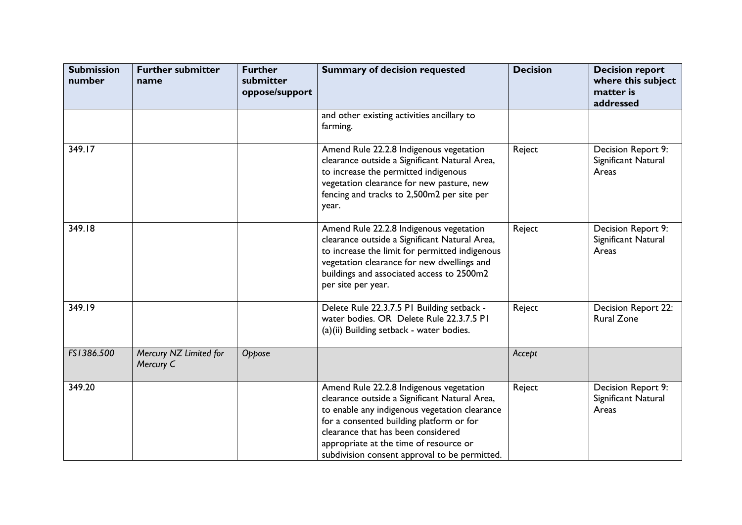| <b>Submission</b><br>number | <b>Further submitter</b><br>name    | <b>Further</b><br>submitter<br>oppose/support | <b>Summary of decision requested</b>                                                                                                                                                                                                                                                                                   | <b>Decision</b> | <b>Decision report</b><br>where this subject<br>matter is<br>addressed |
|-----------------------------|-------------------------------------|-----------------------------------------------|------------------------------------------------------------------------------------------------------------------------------------------------------------------------------------------------------------------------------------------------------------------------------------------------------------------------|-----------------|------------------------------------------------------------------------|
|                             |                                     |                                               | and other existing activities ancillary to<br>farming.                                                                                                                                                                                                                                                                 |                 |                                                                        |
| 349.17                      |                                     |                                               | Amend Rule 22.2.8 Indigenous vegetation<br>clearance outside a Significant Natural Area,<br>to increase the permitted indigenous<br>vegetation clearance for new pasture, new<br>fencing and tracks to 2,500m2 per site per<br>year.                                                                                   | Reject          | Decision Report 9:<br>Significant Natural<br>Areas                     |
| 349.18                      |                                     |                                               | Amend Rule 22.2.8 Indigenous vegetation<br>clearance outside a Significant Natural Area,<br>to increase the limit for permitted indigenous<br>vegetation clearance for new dwellings and<br>buildings and associated access to 2500m2<br>per site per year.                                                            | Reject          | Decision Report 9:<br>Significant Natural<br>Areas                     |
| 349.19                      |                                     |                                               | Delete Rule 22.3.7.5 PI Building setback -<br>water bodies. OR Delete Rule 22.3.7.5 PI<br>(a)(ii) Building setback - water bodies.                                                                                                                                                                                     | Reject          | Decision Report 22:<br><b>Rural Zone</b>                               |
| FS1386.500                  | Mercury NZ Limited for<br>Mercury C | Oppose                                        |                                                                                                                                                                                                                                                                                                                        | Accept          |                                                                        |
| 349.20                      |                                     |                                               | Amend Rule 22.2.8 Indigenous vegetation<br>clearance outside a Significant Natural Area,<br>to enable any indigenous vegetation clearance<br>for a consented building platform or for<br>clearance that has been considered<br>appropriate at the time of resource or<br>subdivision consent approval to be permitted. | Reject          | Decision Report 9:<br>Significant Natural<br>Areas                     |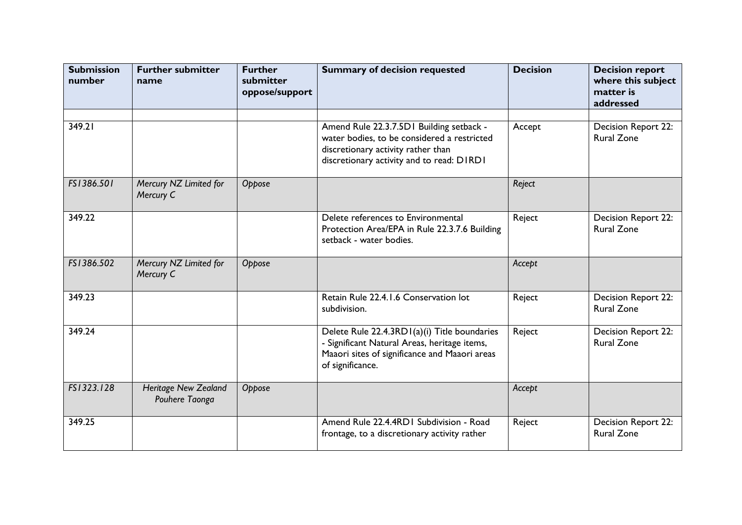| <b>Submission</b><br>number | <b>Further submitter</b><br>name              | <b>Further</b><br>submitter<br>oppose/support | <b>Summary of decision requested</b>                                                                                                                                       | <b>Decision</b> | <b>Decision report</b><br>where this subject<br>matter is<br>addressed |
|-----------------------------|-----------------------------------------------|-----------------------------------------------|----------------------------------------------------------------------------------------------------------------------------------------------------------------------------|-----------------|------------------------------------------------------------------------|
| 349.21                      |                                               |                                               | Amend Rule 22.3.7.5D1 Building setback -<br>water bodies, to be considered a restricted<br>discretionary activity rather than<br>discretionary activity and to read: DIRDI | Accept          | Decision Report 22:<br><b>Rural Zone</b>                               |
| FS1386.501                  | Mercury NZ Limited for<br>Mercury C           | Oppose                                        |                                                                                                                                                                            | Reject          |                                                                        |
| 349.22                      |                                               |                                               | Delete references to Environmental<br>Protection Area/EPA in Rule 22.3.7.6 Building<br>setback - water bodies.                                                             | Reject          | Decision Report 22:<br><b>Rural Zone</b>                               |
| FS1386.502                  | Mercury NZ Limited for<br>Mercury C           | Oppose                                        |                                                                                                                                                                            | Accept          |                                                                        |
| 349.23                      |                                               |                                               | Retain Rule 22.4.1.6 Conservation lot<br>subdivision.                                                                                                                      | Reject          | Decision Report 22:<br><b>Rural Zone</b>                               |
| 349.24                      |                                               |                                               | Delete Rule 22.4.3RD I(a)(i) Title boundaries<br>- Significant Natural Areas, heritage items,<br>Maaori sites of significance and Maaori areas<br>of significance.         | Reject          | Decision Report 22:<br><b>Rural Zone</b>                               |
| FS1323.128                  | <b>Heritage New Zealand</b><br>Pouhere Taonga | Oppose                                        |                                                                                                                                                                            | Accept          |                                                                        |
| 349.25                      |                                               |                                               | Amend Rule 22.4.4RD1 Subdivision - Road<br>frontage, to a discretionary activity rather                                                                                    | Reject          | Decision Report 22:<br><b>Rural Zone</b>                               |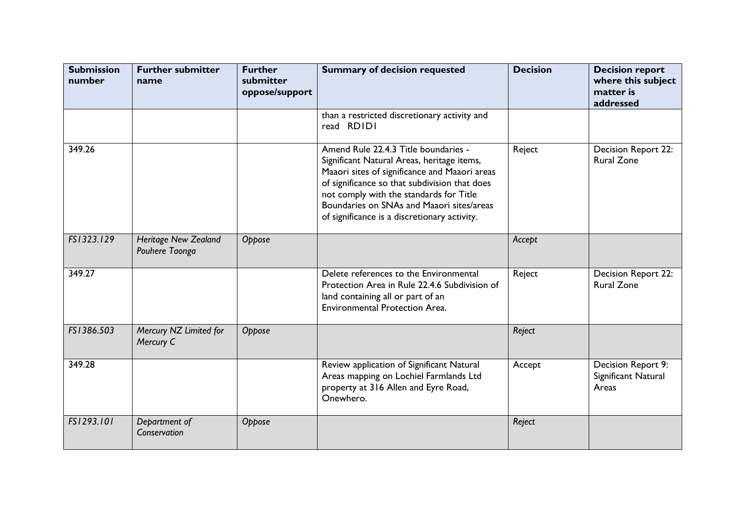| <b>Submission</b><br>number | <b>Further submitter</b><br>name              | <b>Further</b><br>submitter<br>oppose/support | <b>Summary of decision requested</b>                                                                                                                                                                                                                                                                                         | <b>Decision</b> | <b>Decision report</b><br>where this subject<br>matter is<br>addressed |
|-----------------------------|-----------------------------------------------|-----------------------------------------------|------------------------------------------------------------------------------------------------------------------------------------------------------------------------------------------------------------------------------------------------------------------------------------------------------------------------------|-----------------|------------------------------------------------------------------------|
|                             |                                               |                                               | than a restricted discretionary activity and<br>read RDIDI                                                                                                                                                                                                                                                                   |                 |                                                                        |
| 349.26                      |                                               |                                               | Amend Rule 22.4.3 Title boundaries -<br>Significant Natural Areas, heritage items,<br>Maaori sites of significance and Maaori areas<br>of significance so that subdivision that does<br>not comply with the standards for Title<br>Boundaries on SNAs and Maaori sites/areas<br>of significance is a discretionary activity. | Reject          | Decision Report 22:<br><b>Rural Zone</b>                               |
| FS1323.129                  | <b>Heritage New Zealand</b><br>Pouhere Taonga | Oppose                                        |                                                                                                                                                                                                                                                                                                                              | Accept          |                                                                        |
| 349.27                      |                                               |                                               | Delete references to the Environmental<br>Protection Area in Rule 22.4.6 Subdivision of<br>land containing all or part of an<br><b>Environmental Protection Area.</b>                                                                                                                                                        | Reject          | <b>Decision Report 22:</b><br><b>Rural Zone</b>                        |
| FS1386.503                  | Mercury NZ Limited for<br>Mercury C           | Oppose                                        |                                                                                                                                                                                                                                                                                                                              | Reject          |                                                                        |
| 349.28                      |                                               |                                               | Review application of Significant Natural<br>Areas mapping on Lochiel Farmlands Ltd<br>property at 316 Allen and Eyre Road,<br>Onewhero.                                                                                                                                                                                     | Accept          | Decision Report 9:<br>Significant Natural<br>Areas                     |
| FS1293.101                  | Department of<br>Conservation                 | Oppose                                        |                                                                                                                                                                                                                                                                                                                              | Reject          |                                                                        |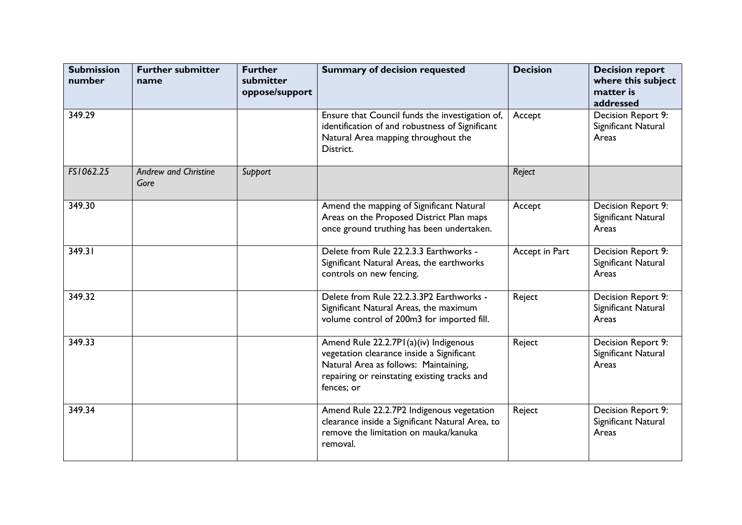| <b>Submission</b><br>number | <b>Further submitter</b><br>name    | <b>Further</b><br>submitter<br>oppose/support | <b>Summary of decision requested</b>                                                                                                                                                      | <b>Decision</b> | <b>Decision report</b><br>where this subject<br>matter is<br>addressed |
|-----------------------------|-------------------------------------|-----------------------------------------------|-------------------------------------------------------------------------------------------------------------------------------------------------------------------------------------------|-----------------|------------------------------------------------------------------------|
| 349.29                      |                                     |                                               | Ensure that Council funds the investigation of,<br>identification of and robustness of Significant<br>Natural Area mapping throughout the<br>District.                                    | Accept          | Decision Report 9:<br>Significant Natural<br>Areas                     |
| FS1062.25                   | <b>Andrew and Christine</b><br>Gore | Support                                       |                                                                                                                                                                                           | Reject          |                                                                        |
| 349.30                      |                                     |                                               | Amend the mapping of Significant Natural<br>Areas on the Proposed District Plan maps<br>once ground truthing has been undertaken.                                                         | Accept          | Decision Report 9:<br>Significant Natural<br>Areas                     |
| 349.31                      |                                     |                                               | Delete from Rule 22.2.3.3 Earthworks -<br>Significant Natural Areas, the earthworks<br>controls on new fencing.                                                                           | Accept in Part  | Decision Report 9:<br>Significant Natural<br>Areas                     |
| 349.32                      |                                     |                                               | Delete from Rule 22.2.3.3P2 Earthworks -<br>Significant Natural Areas, the maximum<br>volume control of 200m3 for imported fill.                                                          | Reject          | Decision Report 9:<br>Significant Natural<br>Areas                     |
| 349.33                      |                                     |                                               | Amend Rule 22.2.7P1(a)(iv) Indigenous<br>vegetation clearance inside a Significant<br>Natural Area as follows: Maintaining,<br>repairing or reinstating existing tracks and<br>fences; or | Reject          | Decision Report 9:<br>Significant Natural<br>Areas                     |
| 349.34                      |                                     |                                               | Amend Rule 22.2.7P2 Indigenous vegetation<br>clearance inside a Significant Natural Area, to<br>remove the limitation on mauka/kanuka<br>removal.                                         | Reject          | Decision Report 9:<br>Significant Natural<br>Areas                     |